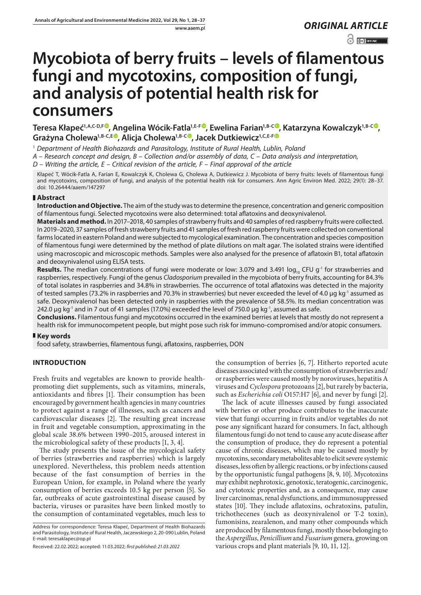www.aaem.pl *ORIGINAL [ARTICLE](https://creativecommons.org/licenses/by-nc/3.0/pl/deed.en)* 

 $\odot$   $\odot$  BY-NC

# **Mycobiota of berry fruits – levels of filamentous fungi and mycotoxins, composition of fungi, and analysis of potential health risk for consumers**

**Teresa Kłapeć1,A,C-D,F , Angelina Wócik-Fatla1,E-F , Ewelina Farian1,B-C , Katarzyna Kowalczyk1,B-C ,**  Grażyna Cholewa<sup>1[,](https://orcid.org/0000-0002-2210-923X)B-C,E®</sup>, Alicja Cholewa<sup>1,B-C®</sup>, Jacek Dutkiewicz<sup>1,C,E-[F](https://orcid.org/0000-0003-1965-8702)®</sup>

1  *Department of Health Biohazards and Parasitology, Institute of Rural Health, Lublin, Poland*

*A – Research concept and design, B – Collection and/or assembly of data, C – Data analysis and interpretation,* 

*D – Writing the article, E – Critical revision of the article, F – Final approval of the article*

Kłapeć T, Wócik-Fatla A, Farian E, Kowalczyk K, Cholewa G, Cholewa A, Dutkiewicz J. Mycobiota of berry fruits: levels of filamentous fungi and mycotoxins, composition of fungi, and analysis of the potential health risk for consumers. Ann Agric Environ Med. 2022; 29(1): 28–37. doi: 10.26444/aaem/147297

# **Abstract**

**Introduction and Objective.** The aim of the study was to determine the presence, concentration and generic composition of filamentous fungi. Selected mycotoxins were also determined: total aflatoxins and deoxynivalenol.

**Materials and method.** In 2017–2018, 40 samples of strawberry fruits and 40 samples of red raspberry fruits were collected. In 2019–2020, 37 samples of fresh strawberry fruits and 41 samples of fresh red raspberry fruits were collected on conventional farms located in eastern Poland and were subjected to mycological examination. The concentration and species composition of filamentous fungi were determined by the method of plate dilutions on malt agar. The isolated strains were identified using macroscopic and microscopic methods. Samples were also analysed for the presence of aflatoxin B1, total aflatoxin and deoxynivalenol using ELISA tests.

**Results.** The median concentrations of fungi were moderate or low: 3.079 and 3.491 log<sub>10</sub> CFU g<sup>-1</sup> for strawberries and raspberries, respectively. Fungi of the genus *Cladosporium* prevailed in the mycobiota of berry fruits, accounting for 84.3% of total isolates in raspberries and 34.8% in strawberries. The occurrence of total aflatoxins was detected in the majority of tested samples (73.2% in raspberries and 70.3% in strawberries) but never exceeded the level of 4.0 µg kg<sup>-1</sup> assumed as safe. Deoxynivalenol has been detected only in raspberries with the prevalence of 58.5%. Its median concentration was 242.0 µg kg<sup>-1</sup> and in 7 out of 41 samples (17.0%) exceeded the level of 750.0 µg kg<sup>-1</sup>, assumed as safe.

**Conclusions.** Filamentous fungi and mycotoxins occurred in the examined berries at levels that mostly do not represent a health risk for immunocompetent people, but might pose such risk for immuno-compromised and/or atopic consumers.

# **Key words**

food safety, strawberries, filamentous fungi, aflatoxins, raspberries, DON

# **INTRODUCTION**

Fresh fruits and vegetables are known to provide healthpromoting diet supplements, such as vitamins, minerals, antioxidants and fibres [1]. Their consumption has been encouraged by government health agencies in many countries to protect against a range of illnesses, such as cancers and cardiovascular diseases [2]. The resulting great increase in fruit and vegetable consumption, approximating in the global scale 38.6% between 1990–2015, aroused interest in the microbiological safety of these products [1, 3, 4].

The study presents the issue of the mycological safety of berries (strawberries and raspberries) which is largely unexplored. Nevertheless, this problem needs attention because of the fast consumption of berries in the European Union, for example, in Poland where the yearly consumption of berries exceeds 10.5 kg per person [5]. So far, outbreaks of acute gastrointestinal disease caused by bacteria, viruses or parasites have been linked mostly to the consumption of contaminated vegetables, much less to

Address for correspondence: Teresa Kłapeć, Department of Health Biohazards and Parasitology, Institute of Rural Health, Jaczewskiego 2, 20-090 Lublin, Poland E-mail: teresaklapec@op.pl

the consumption of berries [6, 7]. Hitherto reported acute diseases associated with the consumption of strawberries and/ or raspberries were caused mostly by noroviruses, hepatitis A viruses and *Cyclospora* protozoans [2], but rarely by bacteria, such as *Escherichia coli* O157:H7 [6], and never by fungi [2].

The lack of acute illnesses caused by fungi associated with berries or other produce contributes to the inaccurate view that fungi occurring in fruits and/or vegetables do not pose any significant hazard for consumers. In fact, although filamentous fungi do not tend to cause any acute disease after the consumption of produce, they do represent a potential cause of chronic diseases, which may be caused mostly by mycotoxins, secondary metabolites able to elicit severe systemic diseases, less often by allergic reactions, or by infections caused by the opportunistic fungal pathogens [8, 9, 10]. Mycotoxins may exhibit nephrotoxic, genotoxic, teratogenic, carcinogenic, and cytotoxic properties and, as a consequence, may cause liver carcinomas, renal dysfunctions, and immunosuppressed states [10]. They include aflatoxins, ochratoxins, patulin, trichothecenes (such as deoxynivalenol or T-2 toxin), fumonisins, zearalenon, and many other compounds which are produced by filamentous fungi, mostly those belonging to the *Aspergillus*, *Penicillium* and *Fusarium* genera, growing on various crops and plant materials [9, 10, 11, 12].

Received: 22.02.2022; accepted: 11.03.2022; *first published: 21.03.2022*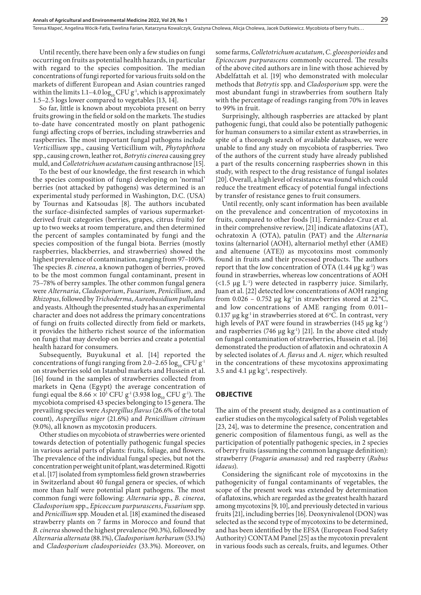Until recently, there have been only a few studies on fungi occurring on fruits as potential health hazards, in particular with regard to the species composition. The median concentrations of fungi reported for various fruits sold on the markets of different European and Asian countries ranged within the limits 1.1–4.0  $log_{10}$  CFU g<sup>-1</sup>, which is approximately 1.5–2.5 logs lower compared to vegetables [13, 14].

So far, little is known about mycobiota present on berry fruits growing in the field or sold on the markets. The studies to-date have concentrated mostly on plant pathogenic fungi affecting crops of berries, including strawberries and raspberries. The most important fungal pathogens include *Verticillium* spp., causing Verticillium wilt, *Phytophthora* spp., causing crown, leather rot, *Botrytis cinerea* causing grey muld, and*Colletotrichum acutatum* causing anthracnose [15].

To the best of our knowledge, the first research in which the species composition of fungi developing on 'normal' berries (not attacked by pathogens) was determined is an experimental study performed in Washington, D.C. (USA) by Tournas and Katsoudas [8]. The authors incubated the surface-disinfected samples of various supermarketderived fruit categories (berries, grapes, citrus fruits) for up to two weeks at room temperature, and then determined the percent of samples contaminated by fungi and the species composition of the fungal biota. Berries (mostly raspberries, blackberries, and strawberries) showed the highest prevalence of contamination, ranging from 97–100%. The species *B. cinerea*, a known pathogen of berries, proved to be the most common fungal contaminant, present in 75–78% of berry samples. The other common fungal genera were *Alternaria*, *Cladosporium*, *Fusarium*, *Penicillium*, and *Rhizopus*, followed by *Trichoderma*, *Aureobasidium pullulans* and yeasts. Although the presented study has an experimental character and does not address the primary concentrations of fungi on fruits collected directly from field or markets, it provides the hitherto richest source of the information on fungi that may develop on berries and create a potential health hazard for consumers.

Subsequently, Buyukunal et al. [14] reported the concentrations of fungi ranging from 2.0–2.65  $\log_{10}$  CFU g<sup>-1</sup> on strawberries sold on Istanbul markets and Hussein et al. [16] found in the samples of strawberries collected from markets in Qena (Egypt) the average concentration of fungi equal tbe  $8.66 \times 10^3$  CFU g<sup>-1</sup>(3.938 log<sub>10</sub> CFU g<sup>-1</sup>). The mycobiota comprised 43 species belonging to 15 genera. The prevailing species were *Aspergillus flavus* (26.6% of the total count), *Aspergillus niger* (21.6%) and *Penicillium citrinum*  (9.0%), all known as mycotoxin producers.

Other studies on mycobiota of strawberries were oriented towards detection of potentially pathogenic fungal species in various aerial parts of plants: fruits, foliage, and flowers. The prevalence of the individual fungal species, but not the concentration per weight unit of plant, was determined. Rigotti et al. [17] isolated from symptomless field grown strawberries in Switzerland about 40 fungal genera or species, of which more than half were potential plant pathogens. The most common fungi were following: *Alternaria* spp., *B. cinerea*, *Cladosporium* spp., *Epicoccum purpurascens*, *Fusarium* spp. and *Penicillium* spp. Mouden et al. [18] examined the diseased strawberry plants on 7 farms in Morocco and found that *B. cinerea* showed the highest prevalence (90.3%), followed by *Alternaria alternata* (88.1%), *Cladosporium herbarum* (53.1%) and *Cladosporium cladosporioides* (33.3%). Moreover, on

some farms, *Colletotrichum acutatum*, *C*. *gloeosporioides* and *Epicoccum purpurascens* commonly occurred. The results of the above cited authors are in line with those achieved by Abdelfattah et al. [19] who demonstrated with molecular methods that *Botrytis* spp. and *Cladosporium* spp. were the most abundant fungi in strawberries from southern Italy with the percentage of readings ranging from 70% in leaves to 99% in fruit.

Surprisingly, although raspberries are attacked by plant pathogenic fungi, that could also be potentially pathogenic for human consumers to a similar extent as strawberries, in spite of a thorough search of available databases, we were unable to find any study on mycobiota of raspberries. Two of the authors of the current study have already published a part of the results concerning raspberries shown in this study, with respect to the drug resistance of fungal isolates [20]. Overall, a high level of resistance was found which could reduce the treatment efficacy of potential fungal infections by transfer of resistance genes to fruit consumers.

Until recently, only scant information has been available on the prevalence and concentration of mycotoxins in fruits, compared to other foods [11]. Fernández-Cruz et al. in their comprehensive review, [21] indicate aflatoxins (AT), ochratoxin A (OTA), patulin (PAT) and the *Alternaria*  toxins (alternariol (AOH), alternariol methyl ether (AME) and altenuene (ATE)) as mycotoxins most commonly found in fruits and their processed products. The authors report that the low concentration of OTA  $(1.44 \mu g kg^{-1})$  was found in strawberries, whereas low concentrations of AOH  $(\leq 1.5 \mu g L^{-1})$  were detected in raspberry juice. Similarly, Juan et al. [22] detected low concentrations of AOH ranging from 0.026 – 0.752 µg kg<sup>-1</sup> in strawberries stored at 22 °C, and low concentrations of AME ranging from 0.011– 0.137  $\mu$ g kg<sup>-1</sup> in strawberries stored at 6°C. In contrast, very high levels of PAT were found in strawberries (145  $\mu$ g kg<sup>-1</sup>) and raspberries (746  $\mu$ g kg<sup>-1</sup>) [21]. In the above cited study on fungal contamination of strawberries, Hussein et al. [16] demonstrated the production of aflatoxin and ochratoxin A by selected isolates of *A. flavus* and *A. niger*, which resulted in the concentrations of these mycotoxins approximating 3.5 and 4.1  $\mu$ g kg<sup>-1</sup>, respectively.

# **OBJECTIVE**

The aim of the present study, designed as a continuation of earlier studies on the mycological safety of Polish vegetables [23, 24], was to determine the presence, concentration and generic composition of filamentous fungi, as well as the participation of potentially pathogenic species, in 2 species of berry fruits (assuming the common language definition): strawberry (*Fragaria ananassa*) and red raspberry (*Rubus idaeus*).

Considering the significant role of mycotoxins in the pathogenicity of fungal contaminants of vegetables, the scope of the present work was extended by determination of aflatoxins, which are regarded as the greatest health hazard among mycotoxins [9, 10], and previously detected in various fruits [21], including berries [16]. Deoxynivalenol (DON) was selected as the second type of mycotoxins to be determined, and has been identified by the EFSA (European Food Safety Authority) CONTAM Panel [25] as the mycotoxin prevalent in various foods such as cereals, fruits, and legumes. Other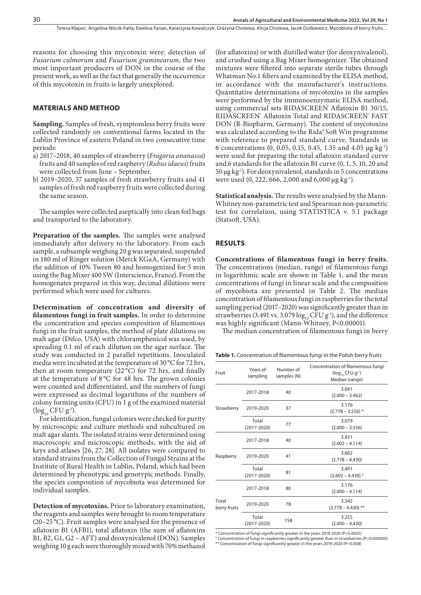reasons for choosing this mycotoxin were: detection of *Fusarium culmorum* and *Fusarium graminearum*, the two most important producers of DON in the course of the present work, as well as the fact that generally the occurrence of this mycotoxin in fruits is largely unexplored.

#### **MATERIALS AND METHOD**

**Sampling.** Samples of fresh, symptomless berry fruits were collected randomly on conventional farms located in the Lublin Province of eastern Poland in two consecutive time periods:

- a) 2017–2018, 40 samples of strawberry (*Fragaria ananassa*) fruits and 40 samples of red raspberry (*Rubus idaeus*) fruits were collected from June – September.
- b) 2019–2020, 37 samples of fresh strawberry fruits and 41 samples of fresh red raspberry fruits were collected during the same season.

The samples were collected aseptically into clean foil bags and transported to the laboratory.

**Preparation of the samples.** The samples were analysed immediately after delivery to the laboratory. From each sample, a subsample weighing 20 g was separated, suspended in 180 ml of Ringer solution (Merck KGaA, Germany) with the addition of 10% Tween 80 and homogenized for 5 min using the Bag Mixer 400 SW (Interscience, France). From the homogenates prepared in this way, decimal dilutions were performed which were used for cultures.

**Determination of concentration and diversity of filamentous fungi in fruit samples.** In order to determine the concentration and species composition of filamentous fungi in the fruit samples, the method of plate dilutions on malt agar (Difco, USA) with chloramphenicol was used, by spreading 0.1 ml of each dilution on the agar surface. The study was conducted in 2 parallel repetitions. Inoculated media were incubated at the temperature of 30 °C for 72 hrs, then at room temperature (22 °C) for 72 hrs, and finally at the temperature of 8 °C for 48 hrs. The grown colonies were counted and differentiated, and the numbers of fungi were expressed as decimal logarithms of the numbers of colony forming units (CFU) in 1 g of the examined material  $(\log_{10}$  CFU g<sup>-1</sup>).

For identification, fungal colonies were checked for purity by microscopic and culture methods and subcultured on malt agar slants. The isolated strains were determined using macroscopic and microscopic methods, with the aid of keys and atlases [26, 27, 28]. All isolates were compared to standard strains from the Collection of Fungal Strains at the Institute of Rural Health in Lublin, Poland, which had been determined by phenotypic and genotypic methods. Finally, the species composition of mycobiota was determined for individual samples.

**Detection of mycotoxins.** Prior to laboratory examination, the reagents and samples were brought to room temperature (20–25 °C). Fruit samples were analysed for the presence of aflatoxin B1 (AFB1), total aflatoxin (the sum of aflatoxins B1, B2, G1, G2 – AFT) and deoxynivalenol (DON). Samples weighing 10 g each were thoroughly mixed with 70% methanol

(for aflatoxins) or with distilled water (for deoxynivalenol), and crushed using a Bag Mixer homogenizer. The obtained mixtures were filtered into separate sterile tubes through Whatman No.1 filters and examined by the ELISA method, in accordance with the manufacturer's instructions. Quantitative determinations of mycotoxins in the samples were performed by the immunoenzymatic ELISA method, using commercial sets RIDASCREEN° Aflatoxin B1 30/15, RIDASCREEN<sup>®</sup> Aflatoxin Total and RIDASCREEN® FAST DON (R-Biopharm, Germany). The content of mycotoxins was calculated according to the Rida® Soft Win programme with reference to prepared standard curve. Standards in 6 concentrations (0, 0.05, 0.15, 0.45, 1.35 and 4.05 µg kg-1) were used for preparing the total aflatoxin standard curve and 6 standards for the aflatoxin B1 curve (0, 1, 5, 10, 20 and  $50 \mu$ g kg<sup>-1</sup>). For deoxynivalenol, standards in 5 concentrations were used  $(0, 222, 666, 2,000 \text{ and } 6,000 \text{ µg kg}^{-1}).$ 

**Statistical analysis.** The results were analysed by the Mann-Whitney non-parametric test and Spearman non-parametric test for correlation, using STATISTICA v. 5.1 package (Statsoft, USA).

### **RESULTS**

**Concentrations of filamentous fungi in berry fruits.**  The concentrations (median, range) of filamentous fungi in logarithmic scale are shown in Table 1, and the mean concentrations of fungi in linear scale and the composition of mycobiota are presented in Table 2. The median concentration of filamentous fungi in raspberries for the total sampling period (2017–2020) was significantly greater than in strawberries (3.491 vs. 3.079  $log_{10}$  CFU g<sup>-1</sup>), and the difference was highly significant (Mann-Whitney, P<0.00001).

The median concentration of filamentous fungi in berry

**Table 1.** Concentration of filamentous fungi in the Polish berry fruits

| Fruit                 | Years of<br>sampling     | Number of<br>samples (N) | Concentration of filamentous fungi<br>$(log_{10}$ CFU $g^{-1}$ )<br>Median (range) |
|-----------------------|--------------------------|--------------------------|------------------------------------------------------------------------------------|
|                       | 2017-2018                | 40                       | 3.041<br>$(2.000 - 3.462)$                                                         |
| Strawberry            | 2019-2020                | 37                       | 3.176<br>$(2.778 - 3.556)^*$                                                       |
|                       | Total<br>$(2017 - 2020)$ | 77                       | 3.079<br>$(2.000 - 3.556)$                                                         |
| Raspberry             | 2017-2018                | 40                       | 3.431<br>$(2.602 - 4.114)$                                                         |
|                       | 2019-2020                | 41                       | 3.662<br>$(2.778 - 4.430)$                                                         |
|                       | Total<br>$(2017 - 2020)$ | 81                       | 3.491<br>$(2.602 - 4.430)$ *                                                       |
| Total<br>berry fruits | 2017-2018                | 80                       | 3.176<br>$(2.000 - 4.114)$                                                         |
|                       | 2019-2020                | 78                       | 3.342<br>$(2.778 - 4.430)$ **                                                      |
|                       | Total<br>$(2017 - 2020)$ | 158                      | 3.255<br>$(2.000 - 4.430)$                                                         |

\* Concentration of fungi significantly greater in the years 2019-2020 (P=0.0025) # Concentration of fungi in raspberries significantly greater than in strawberries (P=0.000000) \*\* Concentration of fungi significantly greater in the years 2019-2020 (P=0.008)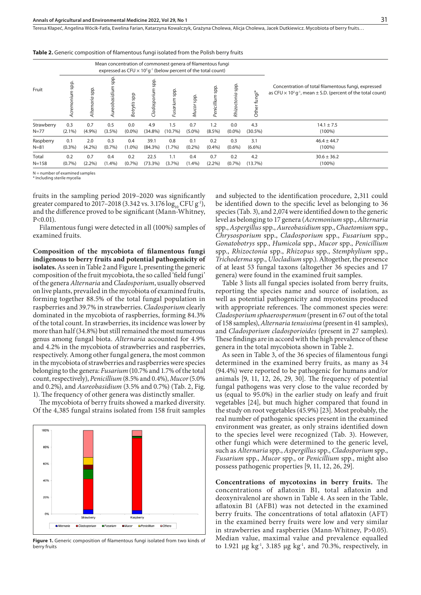Teresa Kłapeć, Angelina Wócik-Fatla, Ewelina Farian, Katarzyna Kowalczyk, Grażyna Cholewa, Alicia Cholewa, Jacek Dutkiewicz, Mycobiota of berry fruits…

|            |                   |                 |                      |              | Mean concentration of commonest genera of filamentous fungi<br>expressed as CFU $\times$ 10 <sup>2</sup> g <sup>-1</sup> (below percent of the total count) |                 |                     |                 |                    |                |                                                                                                                                                       |
|------------|-------------------|-----------------|----------------------|--------------|-------------------------------------------------------------------------------------------------------------------------------------------------------------|-----------------|---------------------|-----------------|--------------------|----------------|-------------------------------------------------------------------------------------------------------------------------------------------------------|
| Fruit      | dds<br>Acremonium | Alternaria spp. | dds<br>Aureobasidium | dds<br>Botry | spp.<br>Cladosporiu                                                                                                                                         | dds<br>Fusarium | qqs<br><b>Mucor</b> | Penicillium spp | dds<br>Rhizoctonia | *ipun<br>Other | Concentration of total filamentous fungi, expressed<br>as CFU $\times$ 10 <sup>2</sup> g <sup>-1</sup> , mean $\pm$ S.D. (percent of the total count) |
| Strawberry | 0.3               | 0.7             | 0.5                  | 0.0          | 4.9                                                                                                                                                         | 1.5             | 0.7                 | 1.2             | 0.0                | 4.3            | $14.1 \pm 7.5$                                                                                                                                        |
| $N = 77$   | $(2.1\%)$         | (4.9%)          | $(3.5\%)$            | $(0.0\%)$    | $(34.8\%)$                                                                                                                                                  | $(10.7\%)$      | $(5.0\%)$           | $(8.5\%)$       | $(0.0\%)$          | $(30.5\%)$     | $(100\%)$                                                                                                                                             |
| Raspberry  | 0.1               | 2.0             | 0.3                  | 0.4          | 39.1                                                                                                                                                        | 0.8             | 0.1                 | 0.2             | 0.3                | 3.1            | $46.4 \pm 44.7$                                                                                                                                       |
| $N = 81$   | $(0.3\%)$         | $(4.2\%)$       | (0.7%                | $(1.0\%)$    | (84.3%)                                                                                                                                                     | $(1.7\%)$       | (0.2%)              | $(0.4\%)$       | $(0.6\%)$          | $(6.6\%)$      | $(100\%)$                                                                                                                                             |
| Total      | 0.2               | 0.7             | 0.4                  | 0.2          | 22.5                                                                                                                                                        | 1.1             | 0.4                 | 0.7             | 0.2                | 4.2            | $30.6 \pm 36.2$                                                                                                                                       |
| $N = 158$  | (0.7%             | $(2.2\%)$       | $(1.4\%)$            | (0.7%        | $(73.3\%)$                                                                                                                                                  | (3.7%)          | (1.4%)              | $(2.2\%)$       | (0.7%              | (13.7%)        | $(100\%)$                                                                                                                                             |

**Table 2.** Generic composition of filamentous fungi isolated from the Polish berry fruits

 $N =$  number of examined samples \* Including sterile mycelia

fruits in the sampling period 2019–2020 was significantly greater compared to 2017–2018 (3.342 vs. 3.176  $\log_{10}$  CFU g<sup>-1</sup>), and the difference proved to be significant (Mann-Whitney,  $P < 0.01$ ).

Filamentous fungi were detected in all (100%) samples of examined fruits.

**Composition of the mycobiota of filamentous fungi indigenous to berry fruits and potential pathogenicity of isolates.** As seen in Table 2 and Figure 1, presenting the generic composition of the fruit mycobiota, the so called 'field fungi' of the genera *Alternaria* and *Cladosporium*, usually observed on live plants, prevailed in the mycobiota of examined fruits, forming together 88.5% of the total fungal population in raspberries and 39.7% in strawberries. *Cladosporium* clearly dominated in the mycobiota of raspberries, forming 84.3% of the total count. In strawberries, its incidence was lower by more than half (34.8%) but still remained the most numerous genus among fungal biota. *Alternaria* accounted for 4.9% and 4.2% in the mycobiota of strawberries and raspberries, respectively. Among other fungal genera, the most common in the mycobiota of strawberries and raspberries were species belonging to the genera: *Fusarium* (10.7% and 1.7% of the total count, respectively), *Penicillium* (8.5% and 0.4%), *Mucor* (5.0% and 0.2%), and *Aureobasidium* (3.5% and 0.7%) (Tab. 2, Fig. 1). The frequency of other genera was distinctly smaller.

The mycobiota of berry fruits showed a marked diversity. Of the 4,385 fungal strains isolated from 158 fruit samples



Figure 1. Generic composition of filamentous fungi isolated from two kinds of berry fruits

and subjected to the identification procedure, 2,311 could be identified down to the specific level as belonging to 36 species (Tab. 3), and 2,074 were identified down to the generic level as belonging to 17 genera (*Acremonium* spp., *Alternaria* spp., *Aspergillus* spp., *Aureobasidium* spp., *Chaetomium* spp., *Chrysosporium* spp., *Cladosporium* spp., *Fusarium* spp., *Gonatobotrys* spp., *Humicola* spp., *Mucor* spp., *Penicillium*  spp., *Rhizoctonia* spp., *Rhizopus* spp., *Stemphylium* spp., *Trichoderma* spp., *Ulocladium* spp.). Altogether, the presence of at least 53 fungal taxons (altogether 36 species and 17 genera) were found in the examined fruit samples.

Table 3 lists all fungal species isolated from berry fruits, reporting the species name and source of isolation, as well as potential pathogenicity and mycotoxins produced with appropriate references. The commonest species were: *Cladosporium sphaerospermum* (present in 67 out of the total of 158 samples), *Alternaria tenuissima* (present in 41 samples), and *Cladosporium cladosporioides* (present in 27 samples). These findings are in accord with the high prevalence of these genera in the total mycobiota shown in Table 2.

As seen in Table 3, of the 36 species of filamentous fungi determined in the examined berry fruits, as many as 34 (94.4%) were reported to be pathogenic for humans and/or animals [9, 11, 12, 26, 29, 30]. The frequency of potential fungal pathogens was very close to the value recorded by us (equal to 95.0%) in the earlier study on leafy and fruit vegetables [24], but much higher compared that found in the study on root vegetables (45.9%) [23]. Most probably, the real number of pathogenic species present in the examined environment was greater, as only strains identified down to the species level were recognized (Tab. 3). However, other fungi which were determined to the generic level, such as *Alternaria* spp., *Aspergillus* spp., *Cladosporium* spp., *Fusarium* spp., *Mucor* spp., or *Penicillium* spp., might also possess pathogenic properties [9, 11, 12, 26, 29].

**Concentrations of mycotoxins in berry fruits.** The concentrations of aflatoxin B1, total aflatoxin and deoxynivalenol are shown in Table 4. As seen in the Table, aflatoxin B1 (AFB1) was not detected in the examined berry fruits. The concentrations of total aflatoxin (AFT) in the examined berry fruits were low and very similar in strawberries and raspberries (Mann-Whitney, P>0.05). Median value, maximal value and prevalence equalled to 1.921  $\mu$ g kg<sup>-1</sup>, 3.185  $\mu$ g kg<sup>-1</sup>, and 70.3%, respectively, in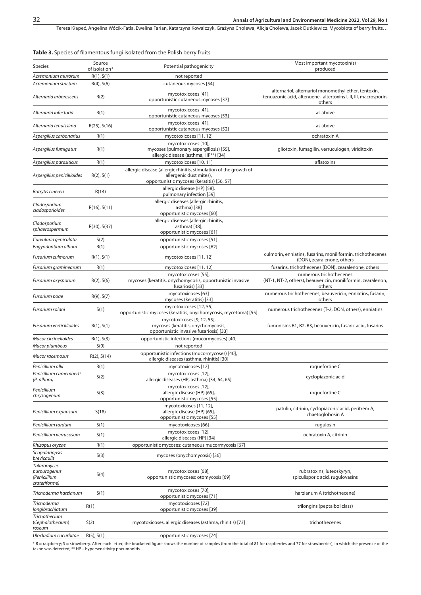Teresa Kłapeć, Angelina Wócik-Fatla, Ewelina Farian, Katarzyna Kowalczyk, Grażyna Cholewa, Alicja Cholewa, Jacek Dutkiewicz. Mycobiota of berry fruits...

**Table 3.** Species of filamentous fungi isolated from the Polish berry fruits

| <b>Species</b>                                               | Source<br>of isolation* | Potential pathogenicity                                                                                                                    | Most important mycotoxin(s)<br>produced                                                                                            |
|--------------------------------------------------------------|-------------------------|--------------------------------------------------------------------------------------------------------------------------------------------|------------------------------------------------------------------------------------------------------------------------------------|
| Acremonium murorum                                           | R(1), S(1)              | not reported                                                                                                                               |                                                                                                                                    |
| Acremonium strictum                                          | $R(4)$ , $S(6)$         | cutaneous mycoses [54]                                                                                                                     |                                                                                                                                    |
| Alternaria arborescens                                       | R(2)                    | mycotoxicoses [41],<br>opportunistic cutaneous mycoses [37]                                                                                | alternariol, alternariol monomethyl ether, tentoxin,<br>tenuazonic acid, altenuene, altertoxins I, II, III, macrosporin,<br>others |
| Alternaria infectoria                                        | R(1)                    | mycotoxicoses [41],<br>opportunistic cutaneous mycoses [53]                                                                                | as above                                                                                                                           |
| Alternaria tenuissima                                        | $R(25)$ , S(16)         | mycotoxicoses [41],<br>opportunistic cutaneous mycoses [52]                                                                                | as above                                                                                                                           |
| Aspergillus carbonarius                                      | R(1)                    | mycotoxicoses [11, 12]                                                                                                                     | ochratoxin A                                                                                                                       |
| Aspergillus fumigatus                                        | R(1)                    | mycotoxicoses [10],<br>mycoses (pulmonary aspergillosis) [55],<br>allergic disease (asthma, HP**) [34]                                     | gliotoxin, fumagilin, verruculogen, viriditoxin                                                                                    |
| Aspergillus parasiticus                                      | R(1)                    | mycotoxicoses [10, 11]                                                                                                                     | aflatoxins                                                                                                                         |
| Aspergillus penicillioides                                   | R(2), S(1)              | allergic disease (allergic rhinitis, stimulation of the growth of<br>allergenic dust mites),<br>opportunistic mycoses (keratitis) [56, 57] |                                                                                                                                    |
| Botrytis cinerea                                             | R(14)                   | allergic disease (HP) [58],<br>pulmonary infection [59]                                                                                    |                                                                                                                                    |
| Cladosporium<br>cladosporioides                              | $R(16)$ , $S(11)$       | allergic diseases (allergic rhinitis,<br>asthma) [38]<br>opportunistic mycoses [60]                                                        |                                                                                                                                    |
| Cladosporium<br>sphaerospermum                               | R(30), S(37)            | allergic diseases (allergic rhinitis,<br>asthma) [38],<br>opportunistic mycoses [61]                                                       |                                                                                                                                    |
| Curvularia geniculata                                        | S(2)                    | opportunistic mycoses [51]                                                                                                                 |                                                                                                                                    |
| Engyodontium album                                           | R(1)                    | opportunistic mycoses [62]                                                                                                                 |                                                                                                                                    |
| <b>Fusarium culmorum</b>                                     | R(1), S(1)              | mycotoxicoses [11, 12]                                                                                                                     | culmorin, enniatins, fusarins, moniliformin, trichothecenes<br>(DON), zearalenone, others                                          |
| Fusarium graminearum                                         | R(1)                    | mycotoxicoses [11, 12]                                                                                                                     | fusarins, trichothecenes (DON), zearalenone, others                                                                                |
| Fusarium oxysporum                                           | $R(2)$ , $S(6)$         | mycotoxicoses [55],<br>mycoses (keratitis, onychomycosis, opportunistic invasive<br>fusariosis) [33]                                       | numerous trichothecenes<br>(NT-1, NT-2, others), beauvericin, moniliformin, zearalenon,<br>others                                  |
| Fusarium poae                                                | $R(9)$ , $S(7)$         | mycotoxicoses [63]<br>mycoses (keratitis) [33]                                                                                             | numerous trichothecenes, beauvericin, enniatins, fusarin,<br>others                                                                |
| Fusarium solani                                              | S(1)                    | mycotoxicoses [12, 55]<br>opportunistic mycoses (keratitis, onychomycosis, mycetoma) [55]                                                  | numerous trichothecenes (T-2, DON, others), enniatins                                                                              |
| Fusarium verticillioides                                     | R(1), S(1)              | mycotoxicoses [9, 12, 55],<br>mycoses (keratitis, onychomycosis,<br>opportunistic invasive fusariosis) [33]                                | fumonisins B1, B2, B3, beauvericin, fusaric acid, fusarins                                                                         |
| Mucor circinelloides                                         | R(1), S(3)              | opportunistic infections (mucormycoses) [40]                                                                                               |                                                                                                                                    |
| Mucor plumbeus                                               | S(9)                    | not reported                                                                                                                               |                                                                                                                                    |
| Mucor racemosus                                              | $R(2)$ , $S(14)$        | opportunistic infections (mucormycoses) [40],<br>allergic diseases (asthma, rhinitis) [30]                                                 |                                                                                                                                    |
| Penicillium allii                                            | R(1)                    | mycotoxicoses [12]                                                                                                                         | roquefortine C                                                                                                                     |
| Penicillium camemberti<br>(P. album)                         | S(2)                    | mycotoxicoses [12],<br>allergic diseases (HP, asthma) [34, 64, 65]                                                                         | cyclopiazonic acid                                                                                                                 |
| Penicillium<br>chrysogenum                                   | S(3)                    | mycotoxicoses [12],<br>allergic disease (HP) [65],<br>opportunistic mycoses [55]                                                           | roquefortine C                                                                                                                     |
| Penicillium expansum                                         | S(18)                   | mycotoxicoses [11, 12],<br>allergic disease (HP) [65],<br>opportunistic mycoses [55]                                                       | patulin, citrinin, cyclopiazonic acid, peritrem A,<br>chaetoglobosin A                                                             |
| Penicillium tardum                                           | S(1)                    | mycotoxicoses [66]                                                                                                                         | rugulosin                                                                                                                          |
| Penicillium verrucosum                                       | S(1)                    | mycotoxicoses [12],<br>allergic diseases (HP) [34]                                                                                         | ochratoxin A, citrinin                                                                                                             |
| Rhizopus oryzae                                              | R(1)                    | opportunistic mycoses: cutaneous mucormycosis [67]                                                                                         |                                                                                                                                    |
| Scopulariopsis<br>brevicaulis                                | S(3)                    | mycoses (onychomycosis) [36]                                                                                                               |                                                                                                                                    |
| Talaromyces<br>purpurogenus<br>(Penicillium<br>crateriforme) | S(4)                    | mycotoxicoses [68],<br>opportunistic mycoses: otomycosis [69]                                                                              | rubratoxins, luteoskyryn,<br>spiculisporic acid, rugulovasins                                                                      |
| Trichoderma harzianum                                        | S(1)                    | mycotoxicoses [70],<br>opportunistic mycoses [71]                                                                                          | harzianum A (trichothecene)                                                                                                        |
| Trichoderma<br>longibrachiatum                               | R(1)                    | mycotoxicoses [72]<br>opportunistic mycoses [39]                                                                                           | trilongins (peptaibol class)                                                                                                       |
| Trichothecium<br>(Cephalothecium)<br>roseum                  | S(2)                    | mycotoxicoses, allergic diseases (asthma, rhinitis) [73]                                                                                   | trichothecenes                                                                                                                     |
| Ulocladium cucurbitae                                        | $R(5)$ , $S(1)$         | opportunistic mycoses [74]                                                                                                                 |                                                                                                                                    |

\* R = raspberry; S = strawberry. After each letter, the bracketed figure shows the number of samples (from the total of 81 for raspberries and 77 for strawberries), in which the presence of the<br>taxon was detected; \*\* HP –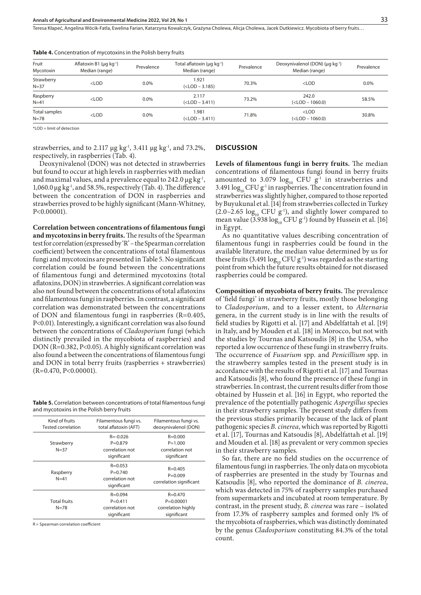Teresa Kłapeć, Angelina Wócik-Fatla, Ewelina Farian, Katarzyna Kowalczyk, Grażyna Cholewa, Alicja Cholewa, Jacek Dutkiewicz . Mycobiota of berry fruits…

| Fruit<br>Mycotoxin        | Aflatoxin B1 ( $\mu$ g kg <sup>-1</sup> )<br>Median (range) | Prevalence | Total aflatoxin ( $\mu$ g kg <sup>-1</sup> )<br>Median (range)                                                                                         | Prevalence | Deoxynivalenol (DON) (µg kg <sup>-1</sup> )<br>Median (range) | Prevalence |
|---------------------------|-------------------------------------------------------------|------------|--------------------------------------------------------------------------------------------------------------------------------------------------------|------------|---------------------------------------------------------------|------------|
| Strawberry<br>$N = 37$    | $<$ LOD                                                     | $0.0\%$    | 1.921<br>$(<$ LOD $-3.185)$                                                                                                                            | 70.3%      | $<$ LOD                                                       | 0.0%       |
| Raspberry<br>$N=41$       | $<$ LOD                                                     | $0.0\%$    | 2.117<br>( <lod -="" 3.411)<="" td=""><td>73.2%</td><td>242.0<br/><math>(&lt;</math>LOD <math>- 1060.0)</math></td><td>58.5%</td></lod>                | 73.2%      | 242.0<br>$(<$ LOD $- 1060.0)$                                 | 58.5%      |
| Total samples<br>$N = 78$ | $<$ LOD                                                     | $0.0\%$    | 1.981<br>( <lod -="" 3.411)<="" td=""><td>71.8%</td><td><math>&lt;</math>LOD<br/><math>(&lt;</math>LOD <math>- 1060.0)</math></td><td>30.8%</td></lod> | 71.8%      | $<$ LOD<br>$(<$ LOD $- 1060.0)$                               | 30.8%      |

**Table 4.** Concentration of mycotoxins in the Polish berry fruits

\*LOD = limit of detection

strawberries, and to 2.117  $\mu$ g kg<sup>-1</sup>, 3.411  $\mu$ g kg<sup>-1</sup>, and 73.2%, respectively, in raspberries (Tab. 4).

Deoxynivalenol (DON) was not detected in strawberries but found to occur at high levels in raspberries with median and maximal values, and a prevalence equal to  $242.0 \,\mu g kg^{-1}$ , 1,060.0 µg kg-1, and 58.5%, respectively (Tab. 4). The difference between the concentration of DON in raspberries and strawberries proved to be highly significant (Mann-Whitney, P<0.00001).

**Correlation between concentrations of filamentous fungi and mycotoxins in berry fruits.** The results of the Spearman test for correlation (expressed by 'R' – the Spearman correlation coefficient) between the concentrations of total filamentous fungi and mycotoxins are presented in Table 5. No significant correlation could be found between the concentrations of filamentous fungi and determined mycotoxins (total aflatoxins, DON) in strawberries. A significant correlation was also not found between the concentrations of total aflatoxins and filamentous fungi in raspberries. In contrast, a significant correlation was demonstrated between the concentrations of DON and filamentous fungi in raspberries (R=0.405, P<0.01). Interestingly, a significant correlation was also found between the concentrations of *Cladosporium* fungi (which distinctly prevailed in the mycobiota of raspberries) and DON (R=0.382, P<0.05). A highly significant correlation was also found a between the concentrations of filamentous fungi and DON in total berry fruits (raspberries + strawberries) (R=0.470, P<0.00001).

**Table 5.** Correlation between concentrations of total filamentous fungi and mycotoxins in the Polish berry fruits

| Kind of fruits<br><b>Tested correlation</b> | Filamentous fungi vs.<br>total aflatoxin (AFT)                | Filamentous fungi vs.<br>deoxynivalenol (DON)                     |
|---------------------------------------------|---------------------------------------------------------------|-------------------------------------------------------------------|
| Strawberry<br>$N = 37$                      | $R = -0.026$<br>$P = 0.879$<br>correlation not<br>significant | $R = 0.000$<br>$P = 1.000$<br>correlation not<br>significant      |
| Raspberry<br>$N = 41$                       | $R = 0.053$<br>$P = 0.740$<br>correlation not<br>significant  | $R = 0.405$<br>$P = 0.009$<br>correlation significant             |
| <b>Total fruits</b><br>$N = 78$             | $R = 0.094$<br>$P = 0.411$<br>correlation not<br>significant  | $R = 0.470$<br>$P = 0.00001$<br>correlation highly<br>significant |

 $R =$  Spearman correlation coefficient

#### **DISCUSSION**

**Levels of filamentous fungi in berry fruits.** The median concentrations of filamentous fungi found in berry fruits amounted to 3.079  $log_{10}$  CFU g<sup>-1</sup> in strawberries and 3.491  $\log_{10}$  CFU g<sup>-1</sup> in raspberries. The concentration found in strawberries was slightly higher, compared to those reported by Buyukunal et al. [14] from strawberries collected in Turkey  $(2.0-2.65 \log_{10} CFU g<sup>-1</sup>)$ , and slightly lower compared to mean value (3.938  $\log_{10}$  CFU g<sup>-1</sup>) found by Hussein et al. [16] in Egypt.

As no quantitative values describing concentration of filamentous fungi in raspberries could be found in the available literature, the median value determined by us for these fruits (3.491  $\log_{10}$  CFU g<sup>-1</sup>) was regarded as the starting point from which the future results obtained for not diseased raspberries could be compared.

**Composition of mycobiota of berry fruits.** The prevalence of 'field fungi' in strawberry fruits, mostly those belonging to *Cladosporium*, and to a lesser extent, to *Alternaria* genera, in the current study is in line with the results of field studies by Rigotti et al. [17] and Abdelfattah et al. [19] in Italy, and by Mouden et al. [18] in Morocco, but not with the studies by Tournas and Katsoudis [8] in the USA, who reported a low occurrence of these fungi in strawberry fruits. The occurrence of *Fusarium* spp. and *Penicillium* spp. in the strawberry samples tested in the present study is in accordance with the results of Rigotti et al. [17] and Tournas and Katsoudis [8], who found the presence of these fungi in strawberries. In contrast, the current results differ from those obtained by Hussein et al. [16] in Egypt, who reported the prevalence of the potentially pathogenic *Aspergillus* species in their strawberry samples. The present study differs from the previous studies primarily because of the lack of plant pathogenic species *B. cinerea*, which was reported by Rigotti et al. [17], Tournas and Katsoudis [8], Abdelfattah et al. [19] and Mouden et al. [18] as prevalent or very common species in their strawberry samples.

So far, there are no field studies on the occurrence of filamentous fungi in raspberries. The only data on mycobiota of raspberries are presented in the study by Tournas and Katsoudis [8], who reported the dominance of *B. cinerea*, which was detected in 75% of raspberry samples purchased from supermarkets and incubated at room temperature. By contrast, in the present study, *B. cinerea* was rare – isolated from 17.3% of raspberry samples and formed only 1% of the mycobiota of raspberries, which was distinctly dominated by the genus *Cladosporium* constituting 84.3% of the total count.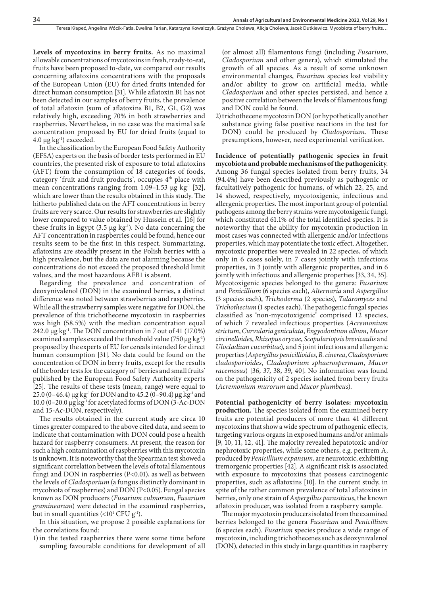**Levels of mycotoxins in berry fruits.** As no maximal allowable concentrations of mycotoxins in fresh, ready-to-eat, fruits have been proposed to-date, we compared our results concerning aflatoxins concentrations with the proposals of the European Union (EU) for dried fruits intended for direct human consumption [31]. While aflatoxin B1 has not been detected in our samples of berry fruits, the prevalence of total aflatoxin (sum of aflatoxins B1, B2, G1, G2) was relatively high, exceeding 70% in both strawberries and raspberries. Nevertheless, in no case was the maximal safe concentration proposed by EU for dried fruits (equal to  $4.0 \,\mu g \,\text{kg}$ <sup>1</sup>) exceeded.

In the classification by the European Food Safety Authority (EFSA) experts on the basis of border tests performed in EU countries, the presented risk of exposure to total aflatoxins (AFT) from the consumption of 18 categories of foods, category 'fruit and fruit products', occupies 4<sup>th</sup> place with mean concentrations ranging from  $1.09-1.53$  µg kg<sup>-1</sup> [32], which are lower than the results obtained in this study. The hitherto published data on the AFT concentrations in berry fruits are very scarce. Our results for strawberries are slightly lower compared to value obtained by Hussein et al. [16] for these fruits in Egypt  $(3.5 \mu g \log^{-1})$ . No data concerning the AFT concentration in raspberries could be found, hence our results seem to be the first in this respect. Summarizing, aflatoxins are steadily present in the Polish berries with a high prevalence, but the data are not alarming because the concentrations do not exceed the proposed threshold limit values, and the most hazardous AFB1 is absent.

Regarding the prevalence and concentration of deoxynivalenol (DON) in the examined berries, a distinct difference was noted between strawberries and raspberries. While all the strawberry samples were negative for DON, the prevalence of this trichothecene mycotoxin in raspberries was high (58.5%) with the median concentration equal 242.0  $\mu$ g kg<sup>-1</sup>. The DON concentration in 7 out of 41 (17.0%) examined samples exceeded the threshold value (750  $\mu$ g kg<sup>-1</sup>) proposed by the experts of EU for cereals intended for direct human consumption [31]. No data could be found on the concentration of DON in berry fruits, except for the results of the border tests for the category of 'berries and small fruits' published by the European Food Safety Authority experts [25]. The results of these tests (mean, range) were equal to 25.0 (0–46.4)  $\mu$ g kg<sup>-1</sup> for DON and to 45.2 (0–90.4)  $\mu$ g kg<sup>-1</sup> and 10.0 (0–20.0 µg kg-1 for acetylated forms of DON (3-Ac-DON and 15-Ac-DON, respectively).

The results obtained in the current study are circa 10 times greater compared to the above cited data, and seem to indicate that contamination with DON could pose a health hazard for raspberry consumers. At present, the reason for such a high contamination of raspberries with this mycotoxin is unknown. It is noteworthy that the Spearman test showed a significant correlation between the levels of total filamentous fungi and DON in raspberries (P<0.01), as well as between the levels of *Cladosporium* (a fungus distinctly dominant in mycobiota of raspberries) and DON (P<0.05). Fungal species known as DON producers (*Fusarium culmorum*, *Fusarium graminearum*) were detected in the examined raspberries, but in small quantities (<10 $^{\scriptscriptstyle 1}$  CFU g<sup>1</sup>).

In this situation, we propose 2 possible explanations for the correlations found:

1)in the tested raspberries there were some time before sampling favourable conditions for development of all (or almost all) filamentous fungi (including *Fusarium*, *Cladosporium* and other genera), which stimulated the growth of all species. As a result of some unknown environmental changes, *Fusarium* species lost viability and/or ability to grow on artificial media, while *Cladosporium* and other species persisted, and hence a positive correlation between the levels of filamentous fungi and DON could be found.

2)trichothecene mycotoxin DON (or hypothetically another substance giving false positive reactions in the test for DON) could be produced by *Cladosporium*. These presumptions, however, need experimental verification.

**Incidence of potentially pathogenic species in fruit mycobiota and probable mechanisms of the pathogenicity**. Among 36 fungal species isolated from berry fruits, 34 (94.4%) have been described previously as pathogenic or facultatively pathogenic for humans, of which 22, 25, and 14 showed, respectively, mycotoxigenic, infectious and allergenic properties. The most important group of potential pathogens among the berry strains were mycotoxigenic fungi, which constituted 61.1% of the total identified species. It is noteworthy that the ability for mycotoxin production in most cases was connected with allergenic and/or infectious properties, which may potentiate the toxic effect. Altogether, mycotoxic properties were revealed in 22 species, of which only in 6 cases solely, in 7 cases jointly with infectious properties, in 3 jointly with allergenic properties, and in 6 jointly with infectious and allergenic properties [33, 34, 35]. Mycotoxigenic species belonged to the genera: *Fusarium* and *Penicillium* (6 species each), *Alternaria* and *Aspergillus*  (3 species each), *Trichoderma* (2 species), *Talaromyces* and *Trichothecium* (1 species each). The pathogenic fungal species classified as 'non-mycotoxigenic' comprised 12 species, of which 7 revealed infectious properties (*Acremonium strictum*, *Curvularia geniculata*, *Engyodontium album*, *Mucor circinelloides*, *Rhizopus oryzae*, *Scopulariopsis brevicaulis* and *Ulocladium cucurbitae*), and 5 joint infectious and allergenic properties (*Aspergillus penicillioides*, *B. cinerea*, *Cladosporium cladosporioides*, *Cladosporium sphaerospermum*, *Mucor racemosus*) [36, 37, 38, 39, 40]. No information was found on the pathogenicity of 2 species isolated from berry fruits (*Acremonium murorum* and *Mucor plumbeus*).

**Potential pathogenicity of berry isolates: mycotoxin production.** The species isolated from the examined berry fruits are potential producers of more than 41 different mycotoxins that show a wide spectrum of pathogenic effects, targeting various organs in exposed humans and/or animals [9, 10, 11, 12, 41]. The majority revealed hepatotoxic and/or nephrotoxic properties, while some others, e.g. peritrem A, produced by *Penicillium expansum,* are neurotoxic, exhibiting tremorgenic properties [42]. A significant risk is associated with exposure to mycotoxins that possess carcinogenic properties, such as aflatoxins [10]. In the current study, in spite of the rather common prevalence of total aflatoxins in berries, only one strain of *Aspergillus parasiticus*, the known aflatoxin producer, was isolated from a raspberry sample.

The major mycotoxin producers isolated from the examined berries belonged to the genera *Fusarium* and *Penicillium* (6 species each). *Fusarium* species produce a wide range of mycotoxin, including trichothecenes such as deoxynivalenol (DON), detected in this study in large quantities in raspberry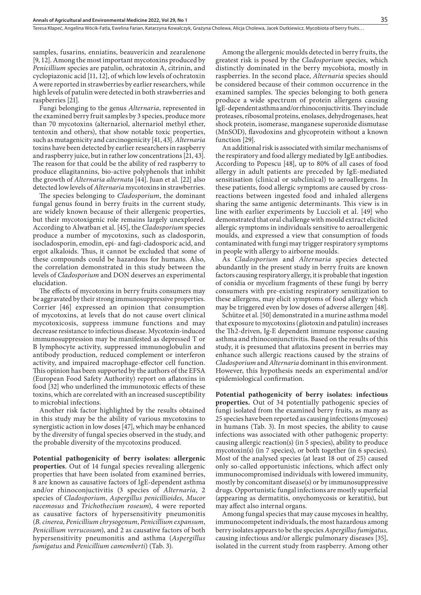Teresa Kłapeć, Angelina Wócik-Fatla, Ewelina Farian, Katarzyna Kowalczyk, Grażyna Cholewa, Alicja Cholewa, Jacek Dutkiewicz . Mycobiota of berry fruits…

samples, fusarins, enniatins, beauvericin and zearalenone [9, 12]. Among the most important mycotoxins produced by *Penicillium* species are patulin, ochratoxin A, citrinin, and cyclopiazonic acid [11, 12], of which low levels of ochratoxin A were reported in strawberries by earlier researchers, while high levels of patulin were detected in both strawberries and raspberries [21].

Fungi belonging to the genus *Alternaria*, represented in the examined berry fruit samples by 3 species, produce more than 70 mycotoxins (alternariol, alternariol methyl ether, tentoxin and others), that show notable toxic properties, such as mutagenicity and carcinogenicity [41, 43]. *Alternaria* toxins have been detected by earlier researchers in raspberry and raspberry juice, but in rather low concentrations [21, 43]. The reason for that could be the ability of red raspberry to produce ellagitannins, bio-active polyphenols that inhibit the growth of *Alternaria alternata* [44][. Juan](https://www.tandfonline.com/author/Juan%2C+Cristina) et al. [22] also detected low levels of *Alternaria* mycotoxins in strawberries.

The species belonging to *Cladosporium*, the dominant fungal genus found in berry fruits in the current study, are widely known because of their allergenic properties, but their mycotoxigenic role remains largely unexplored. According to Alwatban et al. [45], the *Cladosporium* species produce a number of mycotoxins, such as cladosporin, isocladosporin, emodin, epi- and fagi-cladosporic acid, and ergot alkaloids. Thus, it cannot be excluded that some of these compounds could be hazardous for humans. Also, the correlation demonstrated in this study between the levels of *Cladosporium* and DON deserves an experimental elucidation.

The effects of mycotoxins in berry fruits consumers may be aggravated by their strong immunosuppressive properties. Corrier [46] expressed an opinion that consumption of mycotoxins, at levels that do not cause overt clinical mycotoxicosis, suppress immune functions and may decrease resistance to infectious disease. Mycotoxin-induced immunosuppression may be manifested as depressed T or B lymphocyte activity, suppressed immunoglobulin and antibody production, reduced complement or interferon activity, and impaired macrophage-effector cell function. This opinion has been supported by the authors of the EFSA (European Food Safety Authority) report on aflatoxins in food [32] who underlined the immunotoxic effects of these toxins, which are correlated with an increased susceptibility to microbial infections.

Another risk factor highlighted by the results obtained in this study may be the ability of various mycotoxins to synergistic action in low doses [47], which may be enhanced by the diversity of fungal species observed in the study, and the probable diversity of the mycotoxins produced.

**Potential pathogenicity of berry isolates: allergenic properties**. Out of 14 fungal species revealing allergenic properties that have been isolated from examined berries, 8 are known as causative factors of IgE-dependent asthma and/or rhinoconjuctivitis (3 species of *Alternaria*, 2 species of *Cladosporium*, *Aspergillus penicillioides*, *Mucor racemosus* and *Trichothecium roseum*), 4 were reported as causative factors of hypersensitivity pneumonitis (*B. cinerea, Penicillium chrysogenum*, *Penicillium expansum*, *Penicillium verrucosum*), and 2 as causative factors of both hypersensitivity pneumonitis and asthma (*Aspergillus fumigatus* and *Penicillium camemberti*) (Tab. 3).

Among the allergenic moulds detected in berry fruits, the greatest risk is posed by the *Cladosporium* species, which distinctly dominated in the berry mycobiota, mostly in raspberries. In the second place, *Alternaria* species should be considered because of their common occurrence in the examined samples. The species belonging to both genera produce a wide spectrum of protein allergens causing IgE-dependent asthma and/or rhinoconjuctivitis. They include proteases, ribosomal proteins, enolases, dehydrogenases, heat shock protein, isomerase, manganese superoxide dismutase (MnSOD), flavodoxins and glycoprotein without a known function [29].

An additional risk is associated with similar mechanisms of the respiratory and food allergy mediated by IgE antibodies. According to Popescu [48], up to 80% of all cases of food allergy in adult patients are preceded by IgE-mediated sensitisation (clinical or subclinical) to aeroallergens. In these patients, food allergic symptoms are caused by crossreactions between ingested food and inhaled allergens sharing the same antigenic determinants. This view is in line with earlier experiments by Luccioli et al. [49] who demonstrated that oral challenge with mould extract elicited allergic symptoms in individuals sensitive to aeroallergenic moulds, and expressed a view that consumption of foods contaminated with fungi may trigger respiratory symptoms in people with allergy to airborne moulds.

As *Cladosporium* and *Alternaria* species detected abundantly in the present study in berry fruits are known factors causing respiratory allergy, it is probable that ingestion of conidia or mycelium fragments of these fungi by berry consumers with pre-existing respiratory sensitization to these allergens, may elicit symptoms of food allergy which may be triggered even by low doses of adverse allergen [48].

Schütze et al. [50] demonstrated in a murine asthma model that exposure to mycotoxins (gliotoxin and patulin) increases the Th2-driven, Ig-E dependent immune response causing asthma and rhinoconjunctivitis. Based on the results of this study, it is presumed that aflatoxins present in berries may enhance such allergic reactions caused by the strains of *Cladosporium* and *Alternaria* dominant in this environment. However, this hypothesis needs an experimental and/or epidemiological confirmation.

**Potential pathogenicity of berry isolates: infectious properties.** Out of 34 potentially pathogenic species of fungi isolated from the examined berry fruits, as many as 25 species have been reported as causing infections (mycoses) in humans (Tab. 3). In most species, the ability to cause infections was associated with other pathogenic property: causing allergic reaction(s) (in 5 species), ability to produce mycotoxin(s) (in 7 species), or both together (in 6 species). Most of the analysed species (at least 18 out of 25) caused only so-called opportunistic infections, which affect only immunocompromised individuals with lowered immunity, mostly by concomitant disease(s) or by immunosuppressive drugs. Opportunistic fungal infections are mostly superficial (appearing as dermatitis, onychomycosis or keratitis), but may affect also internal organs.

Among fungal species that may cause mycoses in healthy, immunocompetent individuals, the most hazardous among berry isolates appears to be the species *Aspergillus fumigatus,*  causing infectious and/or allergic pulmonary diseases [35], isolated in the current study from raspberry. Among other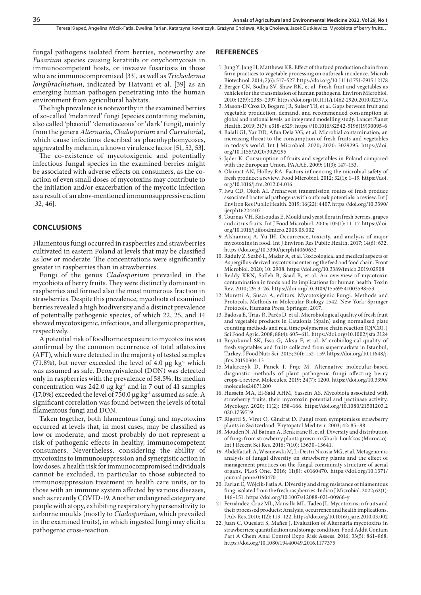fungal pathogens isolated from berries, noteworthy are *Fusarium* species causing keratitits or onychomycosis in immunocompetent hosts, or invasive fusariosis in those who are immunocompromised [33], as well as *Trichoderma longibrachiatum*, indicated by Hatvani et al. [39] as an emerging human pathogen penetrating into the human environment from agricultural habitats.

The high prevalence is noteworthy in the examined berries of so-called 'melanized' fungi (species containing melanin, also called 'phaeoid' 'dematiaceous' or 'dark' fungi), mainly from the genera *Alternaria*, *Cladosporium* and *Curvularia*), which cause infections described as phaeohyphomycoses, aggravated by melanin, a known virulence factor [51, 52, 53].

The co-existence of mycotoxigenic and potentially infectious fungal species in the examined berries might be associated with adverse effects on consumers, as the coaction of even small doses of mycotoxins may contribute to the initiation and/or exacerbation of the mycotic infection as a result of an abov-mentioned immunosuppressive action [32, 46].

#### **CONCLUSIONS**

Filamentous fungi occurred in raspberries and strawberries cultivated in eastern Poland at levels that may be classified as low or moderate. The concentrations were significantly greater in raspberries than in strawberries.

Fungi of the genus *Cladosporium* prevailed in the mycobiota of berry fruits. They were distinctly dominant in raspberries and formed also the most numerous fraction in strawberries. Despite this prevalence, mycobiota of examined berries revealed a high biodiversity and a distinct prevalence of potentially pathogenic species, of which 22, 25, and 14 showed mycotoxigenic, infectious, and allergenic properties, respectively.

A potential risk of foodborne exposure to mycotoxins was confirmed by the common occurrence of total aflatoxins (AFT), which were detected in the majority of tested samples (71.8%), but never exceeded the level of 4.0  $\mu$ g kg<sup>-1</sup> which was assumed as safe. Deoxynivalenol (DON) was detected only in raspberries with the prevalence of 58.5%. Its median concentration was 242.0  $\mu$ g kg<sup>-1</sup> and in 7 out of 41 samples (17.0%) exceeded the level of 750.0  $\mu$ g kg<sup>-1</sup> assumed as safe. A significant correlation was found between the levels of total filamentous fungi and DON.

Taken together, both filamentous fungi and mycotoxins occurred at levels that, in most cases, may be classified as low or moderate, and most probably do not represent a risk of pathogenic effects in healthy, immunocompetent consumers. Nevertheless, considering the ability of mycotoxins to immunosuppression and synergistic action in low doses, a health risk for immunocompromised individuals cannot be excluded, in particular to those subjected to immunosuppression treatment in health care units, or to those with an immune system affected by various diseases, such as recently COVID-19. Another endangered category are people with atopy, exhibiting respiratory hypersensitivity to airborne moulds (mostly to *Cladosporium*, which prevailed in the examined fruits), in which ingested fungi may elicit a pathogenic cross-reaction.

#### **REFERENCES**

- 1. Jung Y, Jang H, Matthews KR. Effect of the food production chain from farm practices to vegetable processing on outbreak incidence. Microb Biotechnol. 2014; 7(6): 517–527. https://doi.org/10.1111/1751-7915.12178
- 2. Berger CN, Sodha SV, Shaw RK, et al. Fresh fruit and vegetables as vehicles for the transmission of human pathogens. Environ Microbiol. 2010; 12(9): 2385–2397. https://doi.org/10.1111/j.1462-2920.2010.02297.x
- 3. Mason-D'Croz D, Bogard JR, Sulser TB, et al. Gaps between fruit and vegetable production, demand, and recommended consumption at global and national levels: an integrated modelling study. Lancet Planet Health. 2019; 3(7): e318-e329. https://10.1016/S2542-5196(19)30095-6
- 4. Balali GI, Yar DD, Afua Dela VG, et al. Microbial contamination, an increasing threat to the consumption of fresh fruits and vegetables in today's world. Int J Microbiol. 2020; 2020: 3029295. https://doi. org/10.1155/2020/3029295
- 5. Jąder K. Consumption of fruits and vegetables in Poland compared with the European Union. PAAAE. 2009: 11(3): 147–153.
- 6. Olaimat AN, Holley RA. Factors influencing the microbial safety of fresh produce: a review. Food Microbiol. 2012; 32(1): 1–19. https://doi. org/10.1016/j.fm.2012.04.016
- 7. Iwu CD, Okoh AI. Preharvest transmission routes of fresh produce associated bacterial pathogens with outbreak potentials: a review. Int J Environ Res Public Health. 2019; 16(22): 4407. https://doi.org/10.3390/ ijerph16224407
- 8. Tournas VH, Katsoudas E. Mould and yeast flora in fresh berries, grapes and citrus fruits. Int J Food Microbiol. 2005; 105(1): 11–17. https://doi. org/10.1016/j.ijfoodmicro.2005.05.002
- 9. Alshannaq A, Yu JH. Occurrence, toxicity, and analysis of major mycotoxins in food. Int J Environ Res Public Health. 2017; 14(6): 632. https://doi.org/10.3390/ijerph14060632
- 10. Ráduly Z, Szabó L, Madar A, et al. Toxicological and medical aspects of Aspergillus-derived mycotoxins entering the feed and food chain. Front Microbiol. 2020; 10: 2908. https://doi.org/10.3389/fmicb.2019.02908
- 11. Reddy KRN, Salleh B, Saad B, et al. An overview of mycotoxin contamination in foods and its implications for human health. Toxin Rev. 2010; 29: 3–26. https://doi.org/10.3109/15569541003598553
- 12. Moretti A, Susca A, editors. Mycotoxigenic Fungi. Methods and Protocols. Methods in Molecular Biology 1542. New York: Springer Protocols. Humana Press, Springer; 2017.
- 13. Badosa E, Trias R, Parés D, et al. Microbiological quality of fresh fruit and vegetable products in Catalonia (Spain) using normalised plate counting methods and real time polymerase chain reaction (QPCR). J Sci Food Agric. 2008; 88(4): 605–611. https://doi.org/10.1002/jsfa.3124
- 14. Buyukunal SK, Issa G, Aksu F, et al. Microbiological quality of fresh vegetables and fruits collected from supermarkets in Istanbul, Turkey. J Food Nutr Sci. 2015; 3(4): 152–159. https://doi.org/10.11648/j. jfns.20150304.13
- 15. Malarczyk D, Panek J, Frąc M. Alternative molecular-based diagnostic methods of plant pathogenic fungi affecting berry crops-a review. Molecules. 2019; 24(7): 1200. https://doi.org/10.3390/ molecules24071200
- 16. Hussein MA, El-Said AHM, Yassein AS. Mycobiota associated with strawberry fruits, their mycotoxin potential and pectinase activity. Mycology. 2020; 11(2): 158–166. https://doi.org/10.1080/21501203.2 020.1759719
- 17. Rigotti S, Viret O, Gindrat D. Fungi from symptomless strawberry plants in Switzerland. Phytopatol Mediterr. 2003; 42: 85–88.
- 18. Mouden N, Al Batnan A, Benkirane R, et al. Diversity and distribution of fungi from strawberry plants grown in Gharb-Loukkos (Morocco). Int J Recent Sci Res. 2016; 7(10): 13630–13641.
- 19. Abdelfattah A, Wisniewski M, Li Destri Nicosia MG, et al. Metagenomic analysis of fungal diversity on strawberry plants and the effect of management practices on the fungal community structure of aerial organs. PLoS One. 2016; 11(8): e0160470. https://doi.org/10.1371/ journal.pone.0160470
- 20. Farian E, Wójcik-Fatla A. Diversity and drug resistance of filamentous fungi isolated from the fresh raspberries. Indian J Microbiol. 2022; 62(1): 146–151. https://doi.org/10.1007/s12088-021-00966-y
- 21. Fernández-Cruz ML, Mansilla ML, Tadeo JL. Mycotoxins in fruits and their processed products: Analysis, occurrence and health implications. J Adv Res. 2010; 1(2): 113–122. https://doi.org/10.1016/j.jare.2010.03.002
- 22. Juan C, Oueslati S, Mañes J. Evaluation of Alternaria mycotoxins in strawberries: quantification and storage condition. Food Addit Contam Part A Chem Anal Control Expo Risk Assess. 2016; 33(5): 861–868. https://doi.org/10.1080/19440049.2016.1177375